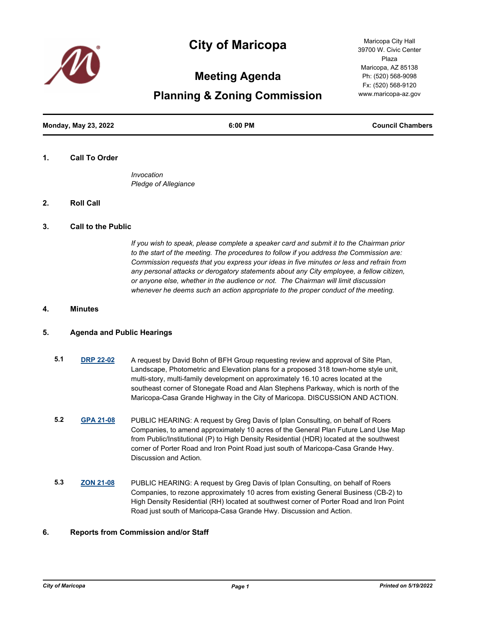

# **City of Maricopa**

**Meeting Agenda**

**Planning & Zoning Commission**

**Monday, May 23, 2022 6:00 PM Council Chambers**

#### **1. Call To Order**

*Invocation Pledge of Allegiance*

## **2. Roll Call**

#### **3. Call to the Public**

*If you wish to speak, please complete a speaker card and submit it to the Chairman prior to the start of the meeting. The procedures to follow if you address the Commission are: Commission requests that you express your ideas in five minutes or less and refrain from any personal attacks or derogatory statements about any City employee, a fellow citizen, or anyone else, whether in the audience or not. The Chairman will limit discussion whenever he deems such an action appropriate to the proper conduct of the meeting.*

## **4. Minutes**

#### **5. Agenda and Public Hearings**

- **5.1 [DRP 22-02](http://maricopa.legistar.com/gateway.aspx?m=l&id=/matter.aspx?key=11277)** A request by David Bohn of BFH Group requesting review and approval of Site Plan, Landscape, Photometric and Elevation plans for a proposed 318 town-home style unit, multi-story, multi-family development on approximately 16.10 acres located at the southeast corner of Stonegate Road and Alan Stephens Parkway, which is north of the Maricopa-Casa Grande Highway in the City of Maricopa. DISCUSSION AND ACTION.
- **5.2 [GPA 21-08](http://maricopa.legistar.com/gateway.aspx?m=l&id=/matter.aspx?key=11278)** PUBLIC HEARING: A request by Greg Davis of Iplan Consulting, on behalf of Roers Companies, to amend approximately 10 acres of the General Plan Future Land Use Map from Public/Institutional (P) to High Density Residential (HDR) located at the southwest corner of Porter Road and Iron Point Road just south of Maricopa-Casa Grande Hwy. Discussion and Action.
- **5.3 [ZON 21-08](http://maricopa.legistar.com/gateway.aspx?m=l&id=/matter.aspx?key=11279)** PUBLIC HEARING: A request by Greg Davis of Iplan Consulting, on behalf of Roers Companies, to rezone approximately 10 acres from existing General Business (CB-2) to High Density Residential (RH) located at southwest corner of Porter Road and Iron Point Road just south of Maricopa-Casa Grande Hwy. Discussion and Action.

## **6. Reports from Commission and/or Staff**

Maricopa City Hall 39700 W. Civic Center Plaza Maricopa, AZ 85138 Ph: (520) 568-9098 Fx: (520) 568-9120 www.maricopa-az.gov